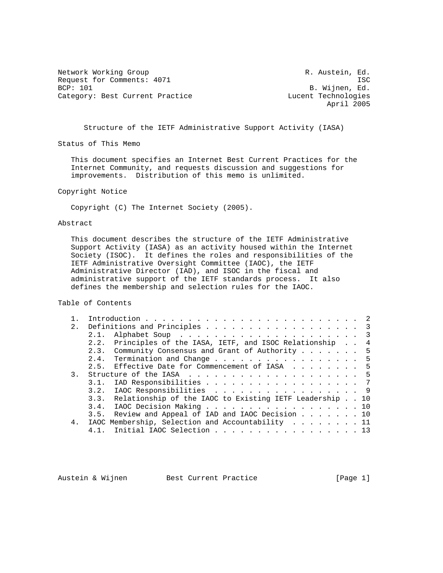Network Working Group **R. Austein, Ed.** Request for Comments: 4071 ISC<br>BCP: 101 BCP: 101 BCP: 101 Category: Best Current Practice Lucent Technologies

B. Wijnen, Ed. April 2005

Structure of the IETF Administrative Support Activity (IASA)

Status of This Memo

 This document specifies an Internet Best Current Practices for the Internet Community, and requests discussion and suggestions for improvements. Distribution of this memo is unlimited.

Copyright Notice

Copyright (C) The Internet Society (2005).

## Abstract

 This document describes the structure of the IETF Administrative Support Activity (IASA) as an activity housed within the Internet Society (ISOC). It defines the roles and responsibilities of the IETF Administrative Oversight Committee (IAOC), the IETF Administrative Director (IAD), and ISOC in the fiscal and administrative support of the IETF standards process. It also defines the membership and selection rules for the IAOC.

Table of Contents

|                | 2. Definitions and Principles 3                              |
|----------------|--------------------------------------------------------------|
|                |                                                              |
|                | 2.2. Principles of the IASA, IETF, and ISOC Relationship 4   |
|                | 2.3. Community Consensus and Grant of Authority  5           |
|                | 2.4. Termination and Change 5                                |
|                | 2.5. Effective Date for Commencement of IASA 5               |
| 3.             |                                                              |
|                | 3.1. IAD Responsibilities 7                                  |
|                | 3.2. IAOC Responsibilities 9                                 |
|                | 3.3. Relationship of the IAOC to Existing IETF Leadership 10 |
|                | 3.4. IAOC Decision Making 10                                 |
|                | 3.5. Review and Appeal of IAD and IAOC Decision 10           |
| 4 <sub>1</sub> | IAOC Membership, Selection and Accountability 11             |
|                | 4.1. Initial IAOC Selection 13                               |

Austein & Wijnen Best Current Practice [Page 1]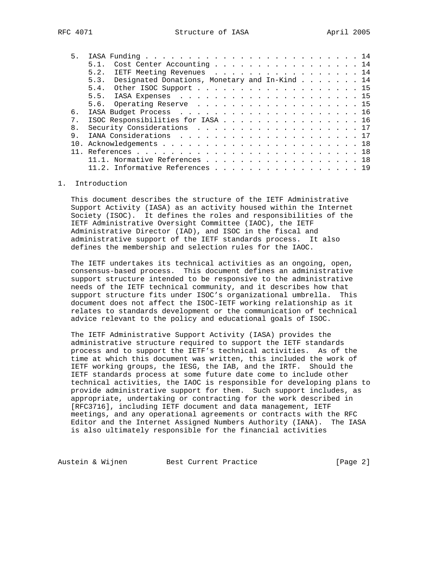| 5 <sub>1</sub> |                                                    |
|----------------|----------------------------------------------------|
|                | Cost Center Accounting 14<br>51                    |
|                | 5.2. IETF Meeting Revenues 14                      |
|                | 5.3. Designated Donations, Monetary and In-Kind 14 |
|                | 5.4. Other ISOC Support 15                         |
|                |                                                    |
|                | 5.6. Operating Reserve 15                          |
| 6.             |                                                    |
| 7 <sub>1</sub> | ISOC Responsibilities for IASA 16                  |
| 8 <sub>1</sub> | Security Considerations 17                         |
| 9              |                                                    |
|                |                                                    |
|                |                                                    |
|                | 11.1. Normative References 18                      |
|                | 11.2. Informative References 19                    |

## 1. Introduction

 This document describes the structure of the IETF Administrative Support Activity (IASA) as an activity housed within the Internet Society (ISOC). It defines the roles and responsibilities of the IETF Administrative Oversight Committee (IAOC), the IETF Administrative Director (IAD), and ISOC in the fiscal and administrative support of the IETF standards process. It also defines the membership and selection rules for the IAOC.

 The IETF undertakes its technical activities as an ongoing, open, consensus-based process. This document defines an administrative support structure intended to be responsive to the administrative needs of the IETF technical community, and it describes how that support structure fits under ISOC's organizational umbrella. This document does not affect the ISOC-IETF working relationship as it relates to standards development or the communication of technical advice relevant to the policy and educational goals of ISOC.

 The IETF Administrative Support Activity (IASA) provides the administrative structure required to support the IETF standards process and to support the IETF's technical activities. As of the time at which this document was written, this included the work of IETF working groups, the IESG, the IAB, and the IRTF. Should the IETF standards process at some future date come to include other technical activities, the IAOC is responsible for developing plans to provide administrative support for them. Such support includes, as appropriate, undertaking or contracting for the work described in [RFC3716], including IETF document and data management, IETF meetings, and any operational agreements or contracts with the RFC Editor and the Internet Assigned Numbers Authority (IANA). The IASA is also ultimately responsible for the financial activities

Austein & Wijnen Best Current Practice [Page 2]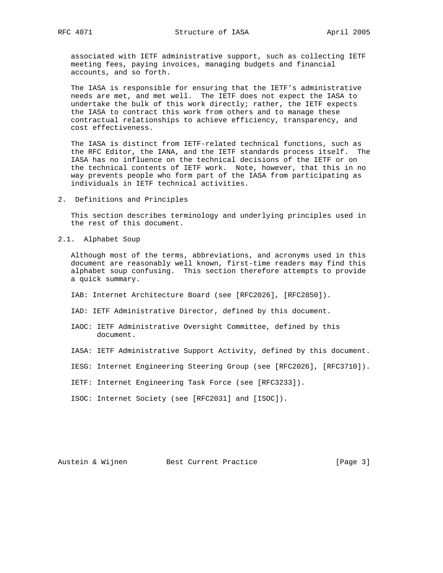associated with IETF administrative support, such as collecting IETF meeting fees, paying invoices, managing budgets and financial accounts, and so forth.

 The IASA is responsible for ensuring that the IETF's administrative needs are met, and met well. The IETF does not expect the IASA to undertake the bulk of this work directly; rather, the IETF expects the IASA to contract this work from others and to manage these contractual relationships to achieve efficiency, transparency, and cost effectiveness.

 The IASA is distinct from IETF-related technical functions, such as the RFC Editor, the IANA, and the IETF standards process itself. The IASA has no influence on the technical decisions of the IETF or on the technical contents of IETF work. Note, however, that this in no way prevents people who form part of the IASA from participating as individuals in IETF technical activities.

2. Definitions and Principles

 This section describes terminology and underlying principles used in the rest of this document.

2.1. Alphabet Soup

 Although most of the terms, abbreviations, and acronyms used in this document are reasonably well known, first-time readers may find this alphabet soup confusing. This section therefore attempts to provide a quick summary.

- IAB: Internet Architecture Board (see [RFC2026], [RFC2850]).
- IAD: IETF Administrative Director, defined by this document.
- IAOC: IETF Administrative Oversight Committee, defined by this document.
- IASA: IETF Administrative Support Activity, defined by this document.
- IESG: Internet Engineering Steering Group (see [RFC2026], [RFC3710]).
- IETF: Internet Engineering Task Force (see [RFC3233]).
- ISOC: Internet Society (see [RFC2031] and [ISOC]).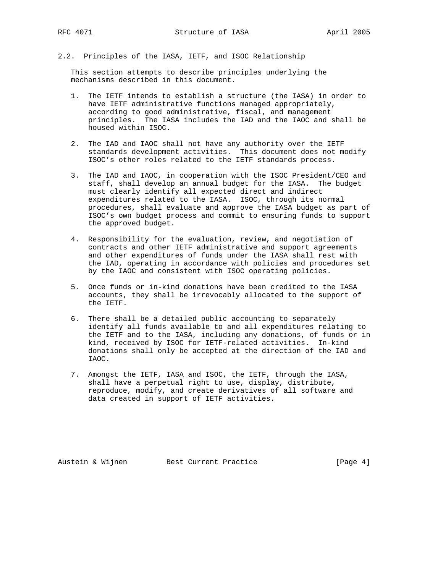2.2. Principles of the IASA, IETF, and ISOC Relationship

 This section attempts to describe principles underlying the mechanisms described in this document.

- 1. The IETF intends to establish a structure (the IASA) in order to have IETF administrative functions managed appropriately, according to good administrative, fiscal, and management principles. The IASA includes the IAD and the IAOC and shall be housed within ISOC.
- 2. The IAD and IAOC shall not have any authority over the IETF standards development activities. This document does not modify ISOC's other roles related to the IETF standards process.
- 3. The IAD and IAOC, in cooperation with the ISOC President/CEO and staff, shall develop an annual budget for the IASA. The budget must clearly identify all expected direct and indirect expenditures related to the IASA. ISOC, through its normal procedures, shall evaluate and approve the IASA budget as part of ISOC's own budget process and commit to ensuring funds to support the approved budget.
- 4. Responsibility for the evaluation, review, and negotiation of contracts and other IETF administrative and support agreements and other expenditures of funds under the IASA shall rest with the IAD, operating in accordance with policies and procedures set by the IAOC and consistent with ISOC operating policies.
- 5. Once funds or in-kind donations have been credited to the IASA accounts, they shall be irrevocably allocated to the support of the IETF.
- 6. There shall be a detailed public accounting to separately identify all funds available to and all expenditures relating to the IETF and to the IASA, including any donations, of funds or in kind, received by ISOC for IETF-related activities. In-kind donations shall only be accepted at the direction of the IAD and IAOC.
- 7. Amongst the IETF, IASA and ISOC, the IETF, through the IASA, shall have a perpetual right to use, display, distribute, reproduce, modify, and create derivatives of all software and data created in support of IETF activities.

Austein & Wijnen Best Current Practice [Page 4]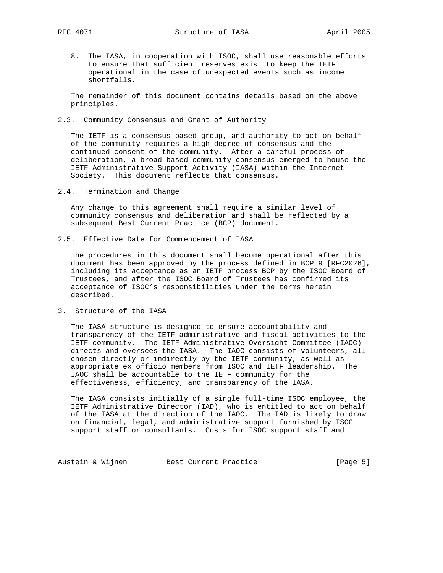8. The IASA, in cooperation with ISOC, shall use reasonable efforts to ensure that sufficient reserves exist to keep the IETF operational in the case of unexpected events such as income shortfalls.

 The remainder of this document contains details based on the above principles.

2.3. Community Consensus and Grant of Authority

 The IETF is a consensus-based group, and authority to act on behalf of the community requires a high degree of consensus and the continued consent of the community. After a careful process of deliberation, a broad-based community consensus emerged to house the IETF Administrative Support Activity (IASA) within the Internet Society. This document reflects that consensus.

2.4. Termination and Change

 Any change to this agreement shall require a similar level of community consensus and deliberation and shall be reflected by a subsequent Best Current Practice (BCP) document.

2.5. Effective Date for Commencement of IASA

 The procedures in this document shall become operational after this document has been approved by the process defined in BCP 9 [RFC2026], including its acceptance as an IETF process BCP by the ISOC Board of Trustees, and after the ISOC Board of Trustees has confirmed its acceptance of ISOC's responsibilities under the terms herein described.

3. Structure of the IASA

 The IASA structure is designed to ensure accountability and transparency of the IETF administrative and fiscal activities to the IETF community. The IETF Administrative Oversight Committee (IAOC) directs and oversees the IASA. The IAOC consists of volunteers, all chosen directly or indirectly by the IETF community, as well as appropriate ex officio members from ISOC and IETF leadership. The IAOC shall be accountable to the IETF community for the effectiveness, efficiency, and transparency of the IASA.

 The IASA consists initially of a single full-time ISOC employee, the IETF Administrative Director (IAD), who is entitled to act on behalf of the IASA at the direction of the IAOC. The IAD is likely to draw on financial, legal, and administrative support furnished by ISOC support staff or consultants. Costs for ISOC support staff and

Austein & Wijnen Best Current Practice [Page 5]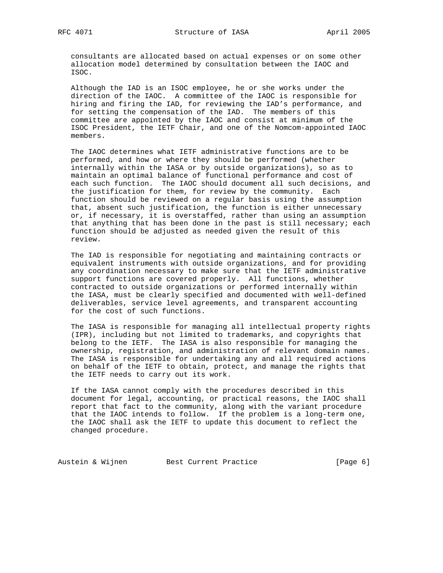consultants are allocated based on actual expenses or on some other allocation model determined by consultation between the IAOC and ISOC.

 Although the IAD is an ISOC employee, he or she works under the direction of the IAOC. A committee of the IAOC is responsible for hiring and firing the IAD, for reviewing the IAD's performance, and for setting the compensation of the IAD. The members of this committee are appointed by the IAOC and consist at minimum of the ISOC President, the IETF Chair, and one of the Nomcom-appointed IAOC members.

 The IAOC determines what IETF administrative functions are to be performed, and how or where they should be performed (whether internally within the IASA or by outside organizations), so as to maintain an optimal balance of functional performance and cost of each such function. The IAOC should document all such decisions, and the justification for them, for review by the community. Each function should be reviewed on a regular basis using the assumption that, absent such justification, the function is either unnecessary or, if necessary, it is overstaffed, rather than using an assumption that anything that has been done in the past is still necessary; each function should be adjusted as needed given the result of this review.

 The IAD is responsible for negotiating and maintaining contracts or equivalent instruments with outside organizations, and for providing any coordination necessary to make sure that the IETF administrative support functions are covered properly. All functions, whether contracted to outside organizations or performed internally within the IASA, must be clearly specified and documented with well-defined deliverables, service level agreements, and transparent accounting for the cost of such functions.

 The IASA is responsible for managing all intellectual property rights (IPR), including but not limited to trademarks, and copyrights that belong to the IETF. The IASA is also responsible for managing the ownership, registration, and administration of relevant domain names. The IASA is responsible for undertaking any and all required actions on behalf of the IETF to obtain, protect, and manage the rights that the IETF needs to carry out its work.

 If the IASA cannot comply with the procedures described in this document for legal, accounting, or practical reasons, the IAOC shall report that fact to the community, along with the variant procedure that the IAOC intends to follow. If the problem is a long-term one, the IAOC shall ask the IETF to update this document to reflect the changed procedure.

Austein & Wijnen Best Current Practice [Page 6]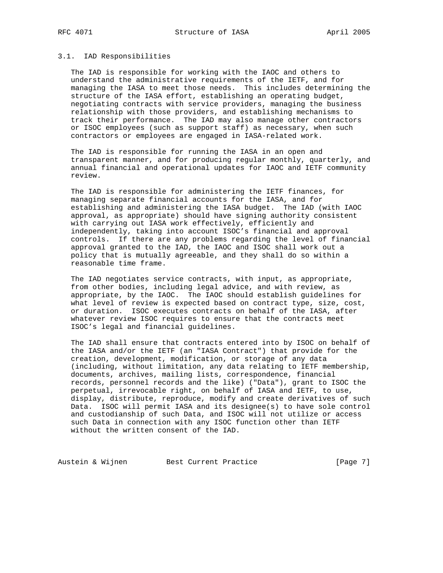### 3.1. IAD Responsibilities

 The IAD is responsible for working with the IAOC and others to understand the administrative requirements of the IETF, and for managing the IASA to meet those needs. This includes determining the structure of the IASA effort, establishing an operating budget, negotiating contracts with service providers, managing the business relationship with those providers, and establishing mechanisms to track their performance. The IAD may also manage other contractors or ISOC employees (such as support staff) as necessary, when such contractors or employees are engaged in IASA-related work.

 The IAD is responsible for running the IASA in an open and transparent manner, and for producing regular monthly, quarterly, and annual financial and operational updates for IAOC and IETF community review.

 The IAD is responsible for administering the IETF finances, for managing separate financial accounts for the IASA, and for establishing and administering the IASA budget. The IAD (with IAOC approval, as appropriate) should have signing authority consistent with carrying out IASA work effectively, efficiently and independently, taking into account ISOC's financial and approval controls. If there are any problems regarding the level of financial approval granted to the IAD, the IAOC and ISOC shall work out a policy that is mutually agreeable, and they shall do so within a reasonable time frame.

 The IAD negotiates service contracts, with input, as appropriate, from other bodies, including legal advice, and with review, as appropriate, by the IAOC. The IAOC should establish guidelines for what level of review is expected based on contract type, size, cost, or duration. ISOC executes contracts on behalf of the IASA, after whatever review ISOC requires to ensure that the contracts meet ISOC's legal and financial guidelines.

 The IAD shall ensure that contracts entered into by ISOC on behalf of the IASA and/or the IETF (an "IASA Contract") that provide for the creation, development, modification, or storage of any data (including, without limitation, any data relating to IETF membership, documents, archives, mailing lists, correspondence, financial records, personnel records and the like) ("Data"), grant to ISOC the perpetual, irrevocable right, on behalf of IASA and IETF, to use, display, distribute, reproduce, modify and create derivatives of such Data. ISOC will permit IASA and its designee(s) to have sole control and custodianship of such Data, and ISOC will not utilize or access such Data in connection with any ISOC function other than IETF without the written consent of the IAD.

Austein & Wijnen Best Current Practice [Page 7]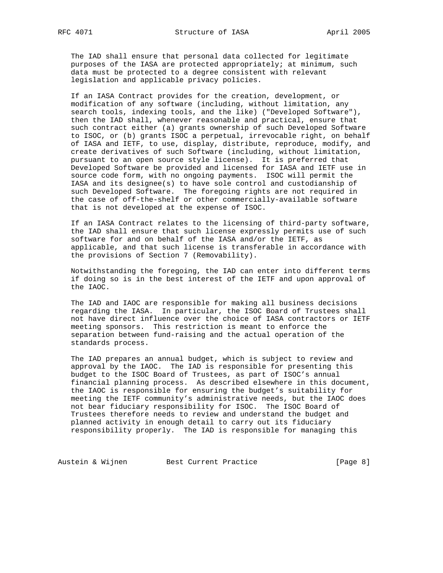The IAD shall ensure that personal data collected for legitimate purposes of the IASA are protected appropriately; at minimum, such data must be protected to a degree consistent with relevant legislation and applicable privacy policies.

 If an IASA Contract provides for the creation, development, or modification of any software (including, without limitation, any search tools, indexing tools, and the like) ("Developed Software"), then the IAD shall, whenever reasonable and practical, ensure that such contract either (a) grants ownership of such Developed Software to ISOC, or (b) grants ISOC a perpetual, irrevocable right, on behalf of IASA and IETF, to use, display, distribute, reproduce, modify, and create derivatives of such Software (including, without limitation, pursuant to an open source style license). It is preferred that Developed Software be provided and licensed for IASA and IETF use in source code form, with no ongoing payments. ISOC will permit the IASA and its designee(s) to have sole control and custodianship of such Developed Software. The foregoing rights are not required in the case of off-the-shelf or other commercially-available software that is not developed at the expense of ISOC.

 If an IASA Contract relates to the licensing of third-party software, the IAD shall ensure that such license expressly permits use of such software for and on behalf of the IASA and/or the IETF, as applicable, and that such license is transferable in accordance with the provisions of Section 7 (Removability).

 Notwithstanding the foregoing, the IAD can enter into different terms if doing so is in the best interest of the IETF and upon approval of the IAOC.

 The IAD and IAOC are responsible for making all business decisions regarding the IASA. In particular, the ISOC Board of Trustees shall not have direct influence over the choice of IASA contractors or IETF meeting sponsors. This restriction is meant to enforce the separation between fund-raising and the actual operation of the standards process.

 The IAD prepares an annual budget, which is subject to review and approval by the IAOC. The IAD is responsible for presenting this budget to the ISOC Board of Trustees, as part of ISOC's annual financial planning process. As described elsewhere in this document, the IAOC is responsible for ensuring the budget's suitability for meeting the IETF community's administrative needs, but the IAOC does not bear fiduciary responsibility for ISOC. The ISOC Board of Trustees therefore needs to review and understand the budget and planned activity in enough detail to carry out its fiduciary responsibility properly. The IAD is responsible for managing this

Austein & Wijnen Best Current Practice [Page 8]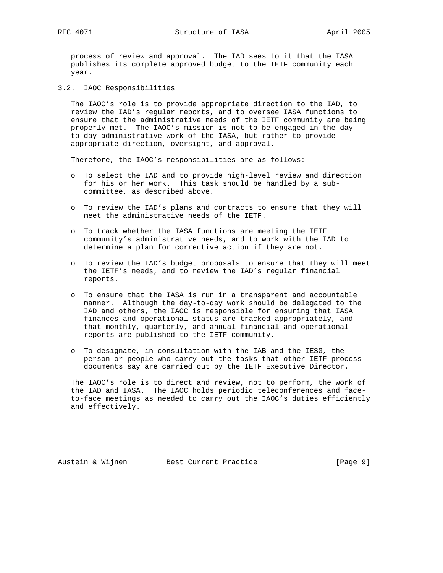process of review and approval. The IAD sees to it that the IASA publishes its complete approved budget to the IETF community each year.

3.2. IAOC Responsibilities

 The IAOC's role is to provide appropriate direction to the IAD, to review the IAD's regular reports, and to oversee IASA functions to ensure that the administrative needs of the IETF community are being properly met. The IAOC's mission is not to be engaged in the day to-day administrative work of the IASA, but rather to provide appropriate direction, oversight, and approval.

Therefore, the IAOC's responsibilities are as follows:

- o To select the IAD and to provide high-level review and direction for his or her work. This task should be handled by a sub committee, as described above.
- o To review the IAD's plans and contracts to ensure that they will meet the administrative needs of the IETF.
- o To track whether the IASA functions are meeting the IETF community's administrative needs, and to work with the IAD to determine a plan for corrective action if they are not.
- o To review the IAD's budget proposals to ensure that they will meet the IETF's needs, and to review the IAD's regular financial reports.
- o To ensure that the IASA is run in a transparent and accountable manner. Although the day-to-day work should be delegated to the IAD and others, the IAOC is responsible for ensuring that IASA finances and operational status are tracked appropriately, and that monthly, quarterly, and annual financial and operational reports are published to the IETF community.
- o To designate, in consultation with the IAB and the IESG, the person or people who carry out the tasks that other IETF process documents say are carried out by the IETF Executive Director.

 The IAOC's role is to direct and review, not to perform, the work of the IAD and IASA. The IAOC holds periodic teleconferences and face to-face meetings as needed to carry out the IAOC's duties efficiently and effectively.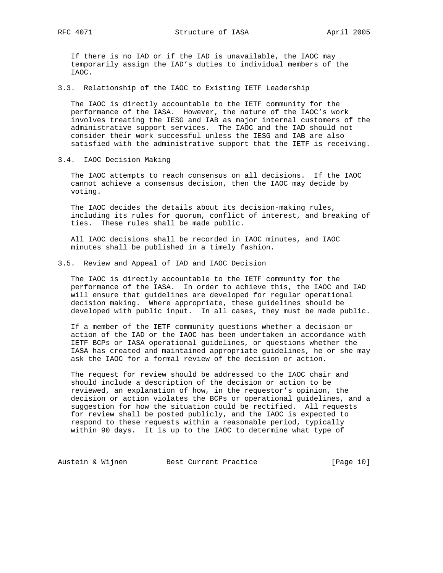If there is no IAD or if the IAD is unavailable, the IAOC may temporarily assign the IAD's duties to individual members of the IAOC.

3.3. Relationship of the IAOC to Existing IETF Leadership

 The IAOC is directly accountable to the IETF community for the performance of the IASA. However, the nature of the IAOC's work involves treating the IESG and IAB as major internal customers of the administrative support services. The IAOC and the IAD should not consider their work successful unless the IESG and IAB are also satisfied with the administrative support that the IETF is receiving.

3.4. IAOC Decision Making

 The IAOC attempts to reach consensus on all decisions. If the IAOC cannot achieve a consensus decision, then the IAOC may decide by voting.

 The IAOC decides the details about its decision-making rules, including its rules for quorum, conflict of interest, and breaking of ties. These rules shall be made public.

 All IAOC decisions shall be recorded in IAOC minutes, and IAOC minutes shall be published in a timely fashion.

3.5. Review and Appeal of IAD and IAOC Decision

 The IAOC is directly accountable to the IETF community for the performance of the IASA. In order to achieve this, the IAOC and IAD will ensure that guidelines are developed for regular operational decision making. Where appropriate, these guidelines should be developed with public input. In all cases, they must be made public.

 If a member of the IETF community questions whether a decision or action of the IAD or the IAOC has been undertaken in accordance with IETF BCPs or IASA operational guidelines, or questions whether the IASA has created and maintained appropriate guidelines, he or she may ask the IAOC for a formal review of the decision or action.

 The request for review should be addressed to the IAOC chair and should include a description of the decision or action to be reviewed, an explanation of how, in the requestor's opinion, the decision or action violates the BCPs or operational guidelines, and a suggestion for how the situation could be rectified. All requests for review shall be posted publicly, and the IAOC is expected to respond to these requests within a reasonable period, typically within 90 days. It is up to the IAOC to determine what type of

Austein & Wijnen Best Current Practice [Page 10]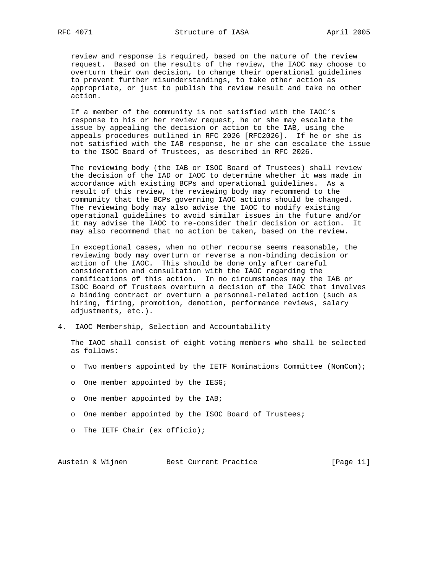review and response is required, based on the nature of the review request. Based on the results of the review, the IAOC may choose to overturn their own decision, to change their operational guidelines to prevent further misunderstandings, to take other action as appropriate, or just to publish the review result and take no other action.

 If a member of the community is not satisfied with the IAOC's response to his or her review request, he or she may escalate the issue by appealing the decision or action to the IAB, using the appeals procedures outlined in RFC 2026 [RFC2026]. If he or she is not satisfied with the IAB response, he or she can escalate the issue to the ISOC Board of Trustees, as described in RFC 2026.

 The reviewing body (the IAB or ISOC Board of Trustees) shall review the decision of the IAD or IAOC to determine whether it was made in accordance with existing BCPs and operational guidelines. As a result of this review, the reviewing body may recommend to the community that the BCPs governing IAOC actions should be changed. The reviewing body may also advise the IAOC to modify existing operational guidelines to avoid similar issues in the future and/or it may advise the IAOC to re-consider their decision or action. It may also recommend that no action be taken, based on the review.

 In exceptional cases, when no other recourse seems reasonable, the reviewing body may overturn or reverse a non-binding decision or action of the IAOC. This should be done only after careful consideration and consultation with the IAOC regarding the ramifications of this action. In no circumstances may the IAB or ISOC Board of Trustees overturn a decision of the IAOC that involves a binding contract or overturn a personnel-related action (such as hiring, firing, promotion, demotion, performance reviews, salary adjustments, etc.).

4. IAOC Membership, Selection and Accountability

 The IAOC shall consist of eight voting members who shall be selected as follows:

- o Two members appointed by the IETF Nominations Committee (NomCom);
- o One member appointed by the IESG;
- o One member appointed by the IAB;
- o One member appointed by the ISOC Board of Trustees;
- o The IETF Chair (ex officio);

Austein & Wijnen Best Current Practice [Page 11]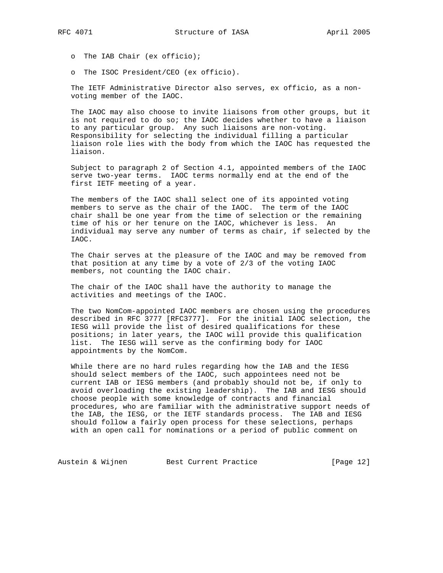o The IAB Chair (ex officio);

o The ISOC President/CEO (ex officio).

 The IETF Administrative Director also serves, ex officio, as a non voting member of the IAOC.

 The IAOC may also choose to invite liaisons from other groups, but it is not required to do so; the IAOC decides whether to have a liaison to any particular group. Any such liaisons are non-voting. Responsibility for selecting the individual filling a particular liaison role lies with the body from which the IAOC has requested the liaison.

 Subject to paragraph 2 of Section 4.1, appointed members of the IAOC serve two-year terms. IAOC terms normally end at the end of the first IETF meeting of a year.

 The members of the IAOC shall select one of its appointed voting members to serve as the chair of the IAOC. The term of the IAOC chair shall be one year from the time of selection or the remaining time of his or her tenure on the IAOC, whichever is less. An individual may serve any number of terms as chair, if selected by the IAOC.

 The Chair serves at the pleasure of the IAOC and may be removed from that position at any time by a vote of 2/3 of the voting IAOC members, not counting the IAOC chair.

 The chair of the IAOC shall have the authority to manage the activities and meetings of the IAOC.

 The two NomCom-appointed IAOC members are chosen using the procedures described in RFC 3777 [RFC3777]. For the initial IAOC selection, the IESG will provide the list of desired qualifications for these positions; in later years, the IAOC will provide this qualification list. The IESG will serve as the confirming body for IAOC appointments by the NomCom.

 While there are no hard rules regarding how the IAB and the IESG should select members of the IAOC, such appointees need not be current IAB or IESG members (and probably should not be, if only to avoid overloading the existing leadership). The IAB and IESG should choose people with some knowledge of contracts and financial procedures, who are familiar with the administrative support needs of the IAB, the IESG, or the IETF standards process. The IAB and IESG should follow a fairly open process for these selections, perhaps with an open call for nominations or a period of public comment on

Austein & Wijnen Best Current Practice [Page 12]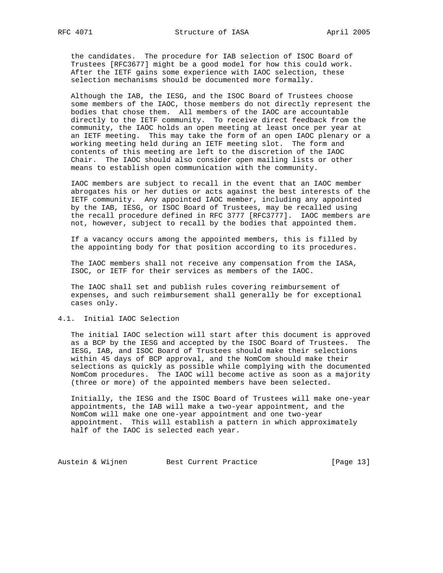the candidates. The procedure for IAB selection of ISOC Board of Trustees [RFC3677] might be a good model for how this could work. After the IETF gains some experience with IAOC selection, these selection mechanisms should be documented more formally.

 Although the IAB, the IESG, and the ISOC Board of Trustees choose some members of the IAOC, those members do not directly represent the bodies that chose them. All members of the IAOC are accountable directly to the IETF community. To receive direct feedback from the community, the IAOC holds an open meeting at least once per year at an IETF meeting. This may take the form of an open IAOC plenary or a working meeting held during an IETF meeting slot. The form and contents of this meeting are left to the discretion of the IAOC Chair. The IAOC should also consider open mailing lists or other means to establish open communication with the community.

 IAOC members are subject to recall in the event that an IAOC member abrogates his or her duties or acts against the best interests of the IETF community. Any appointed IAOC member, including any appointed by the IAB, IESG, or ISOC Board of Trustees, may be recalled using the recall procedure defined in RFC 3777 [RFC3777]. IAOC members are not, however, subject to recall by the bodies that appointed them.

 If a vacancy occurs among the appointed members, this is filled by the appointing body for that position according to its procedures.

 The IAOC members shall not receive any compensation from the IASA, ISOC, or IETF for their services as members of the IAOC.

 The IAOC shall set and publish rules covering reimbursement of expenses, and such reimbursement shall generally be for exceptional cases only.

## 4.1. Initial IAOC Selection

 The initial IAOC selection will start after this document is approved as a BCP by the IESG and accepted by the ISOC Board of Trustees. The IESG, IAB, and ISOC Board of Trustees should make their selections within 45 days of BCP approval, and the NomCom should make their selections as quickly as possible while complying with the documented NomCom procedures. The IAOC will become active as soon as a majority (three or more) of the appointed members have been selected.

 Initially, the IESG and the ISOC Board of Trustees will make one-year appointments, the IAB will make a two-year appointment, and the NomCom will make one one-year appointment and one two-year appointment. This will establish a pattern in which approximately half of the IAOC is selected each year.

Austein & Wijnen Best Current Practice [Page 13]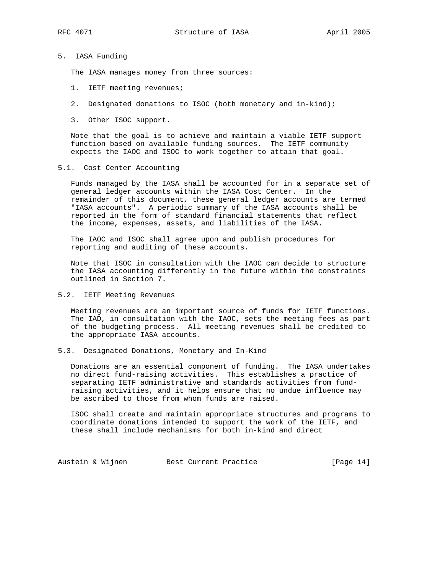# 5. IASA Funding

The IASA manages money from three sources:

- 1. IETF meeting revenues;
- 2. Designated donations to ISOC (both monetary and in-kind);
- 3. Other ISOC support.

 Note that the goal is to achieve and maintain a viable IETF support function based on available funding sources. The IETF community expects the IAOC and ISOC to work together to attain that goal.

### 5.1. Cost Center Accounting

 Funds managed by the IASA shall be accounted for in a separate set of general ledger accounts within the IASA Cost Center. In the remainder of this document, these general ledger accounts are termed "IASA accounts". A periodic summary of the IASA accounts shall be reported in the form of standard financial statements that reflect the income, expenses, assets, and liabilities of the IASA.

 The IAOC and ISOC shall agree upon and publish procedures for reporting and auditing of these accounts.

 Note that ISOC in consultation with the IAOC can decide to structure the IASA accounting differently in the future within the constraints outlined in Section 7.

5.2. IETF Meeting Revenues

 Meeting revenues are an important source of funds for IETF functions. The IAD, in consultation with the IAOC, sets the meeting fees as part of the budgeting process. All meeting revenues shall be credited to the appropriate IASA accounts.

5.3. Designated Donations, Monetary and In-Kind

 Donations are an essential component of funding. The IASA undertakes no direct fund-raising activities. This establishes a practice of separating IETF administrative and standards activities from fund raising activities, and it helps ensure that no undue influence may be ascribed to those from whom funds are raised.

 ISOC shall create and maintain appropriate structures and programs to coordinate donations intended to support the work of the IETF, and these shall include mechanisms for both in-kind and direct

Austein & Wijnen Best Current Practice [Page 14]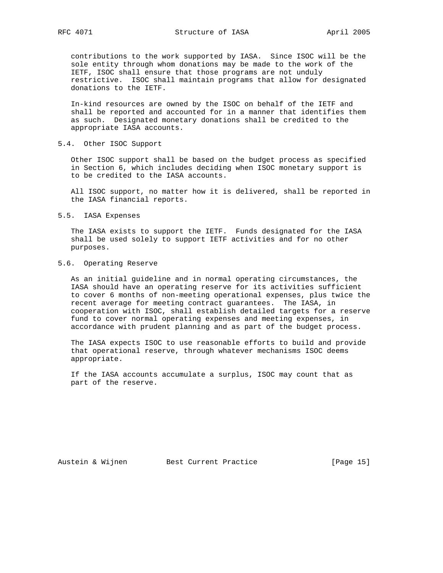contributions to the work supported by IASA. Since ISOC will be the sole entity through whom donations may be made to the work of the IETF, ISOC shall ensure that those programs are not unduly restrictive. ISOC shall maintain programs that allow for designated donations to the IETF.

 In-kind resources are owned by the ISOC on behalf of the IETF and shall be reported and accounted for in a manner that identifies them as such. Designated monetary donations shall be credited to the appropriate IASA accounts.

# 5.4. Other ISOC Support

 Other ISOC support shall be based on the budget process as specified in Section 6, which includes deciding when ISOC monetary support is to be credited to the IASA accounts.

 All ISOC support, no matter how it is delivered, shall be reported in the IASA financial reports.

#### 5.5. IASA Expenses

 The IASA exists to support the IETF. Funds designated for the IASA shall be used solely to support IETF activities and for no other purposes.

## 5.6. Operating Reserve

 As an initial guideline and in normal operating circumstances, the IASA should have an operating reserve for its activities sufficient to cover 6 months of non-meeting operational expenses, plus twice the recent average for meeting contract guarantees. The IASA, in cooperation with ISOC, shall establish detailed targets for a reserve fund to cover normal operating expenses and meeting expenses, in accordance with prudent planning and as part of the budget process.

 The IASA expects ISOC to use reasonable efforts to build and provide that operational reserve, through whatever mechanisms ISOC deems appropriate.

 If the IASA accounts accumulate a surplus, ISOC may count that as part of the reserve.

Austein & Wijnen Best Current Practice [Page 15]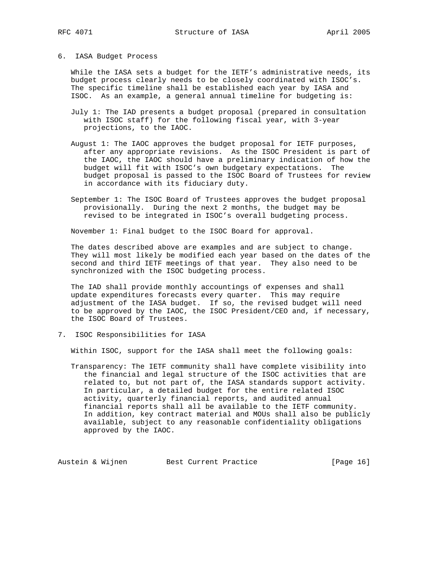## 6. IASA Budget Process

While the IASA sets a budget for the IETF's administrative needs, its budget process clearly needs to be closely coordinated with ISOC's. The specific timeline shall be established each year by IASA and ISOC. As an example, a general annual timeline for budgeting is:

- July 1: The IAD presents a budget proposal (prepared in consultation with ISOC staff) for the following fiscal year, with 3-year projections, to the IAOC.
- August 1: The IAOC approves the budget proposal for IETF purposes, after any appropriate revisions. As the ISOC President is part of the IAOC, the IAOC should have a preliminary indication of how the budget will fit with ISOC's own budgetary expectations. The budget proposal is passed to the ISOC Board of Trustees for review in accordance with its fiduciary duty.
- September 1: The ISOC Board of Trustees approves the budget proposal provisionally. During the next 2 months, the budget may be revised to be integrated in ISOC's overall budgeting process.

November 1: Final budget to the ISOC Board for approval.

 The dates described above are examples and are subject to change. They will most likely be modified each year based on the dates of the second and third IETF meetings of that year. They also need to be synchronized with the ISOC budgeting process.

 The IAD shall provide monthly accountings of expenses and shall update expenditures forecasts every quarter. This may require adjustment of the IASA budget. If so, the revised budget will need to be approved by the IAOC, the ISOC President/CEO and, if necessary, the ISOC Board of Trustees.

7. ISOC Responsibilities for IASA

Within ISOC, support for the IASA shall meet the following goals:

 Transparency: The IETF community shall have complete visibility into the financial and legal structure of the ISOC activities that are related to, but not part of, the IASA standards support activity. In particular, a detailed budget for the entire related ISOC activity, quarterly financial reports, and audited annual financial reports shall all be available to the IETF community. In addition, key contract material and MOUs shall also be publicly available, subject to any reasonable confidentiality obligations approved by the IAOC.

Austein & Wijnen Best Current Practice [Page 16]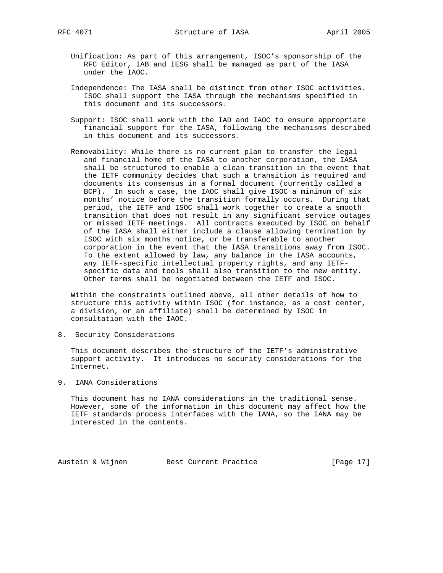- Unification: As part of this arrangement, ISOC's sponsorship of the RFC Editor, IAB and IESG shall be managed as part of the IASA under the IAOC.
- Independence: The IASA shall be distinct from other ISOC activities. ISOC shall support the IASA through the mechanisms specified in this document and its successors.
- Support: ISOC shall work with the IAD and IAOC to ensure appropriate financial support for the IASA, following the mechanisms described in this document and its successors.
- Removability: While there is no current plan to transfer the legal and financial home of the IASA to another corporation, the IASA shall be structured to enable a clean transition in the event that the IETF community decides that such a transition is required and documents its consensus in a formal document (currently called a BCP). In such a case, the IAOC shall give ISOC a minimum of six months' notice before the transition formally occurs. During that period, the IETF and ISOC shall work together to create a smooth transition that does not result in any significant service outages or missed IETF meetings. All contracts executed by ISOC on behalf of the IASA shall either include a clause allowing termination by ISOC with six months notice, or be transferable to another corporation in the event that the IASA transitions away from ISOC. To the extent allowed by law, any balance in the IASA accounts, any IETF-specific intellectual property rights, and any IETF specific data and tools shall also transition to the new entity. Other terms shall be negotiated between the IETF and ISOC.

 Within the constraints outlined above, all other details of how to structure this activity within ISOC (for instance, as a cost center, a division, or an affiliate) shall be determined by ISOC in consultation with the IAOC.

8. Security Considerations

 This document describes the structure of the IETF's administrative support activity. It introduces no security considerations for the Internet.

9. IANA Considerations

 This document has no IANA considerations in the traditional sense. However, some of the information in this document may affect how the IETF standards process interfaces with the IANA, so the IANA may be interested in the contents.

Austein & Wijnen Best Current Practice [Page 17]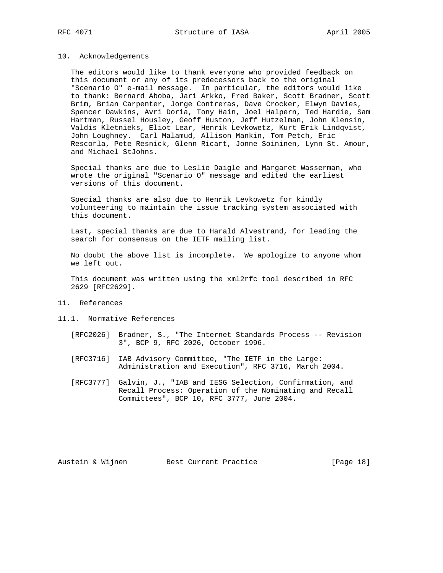### 10. Acknowledgements

 The editors would like to thank everyone who provided feedback on this document or any of its predecessors back to the original "Scenario O" e-mail message. In particular, the editors would like to thank: Bernard Aboba, Jari Arkko, Fred Baker, Scott Bradner, Scott Brim, Brian Carpenter, Jorge Contreras, Dave Crocker, Elwyn Davies, Spencer Dawkins, Avri Doria, Tony Hain, Joel Halpern, Ted Hardie, Sam Hartman, Russel Housley, Geoff Huston, Jeff Hutzelman, John Klensin, Valdis Kletnieks, Eliot Lear, Henrik Levkowetz, Kurt Erik Lindqvist, John Loughney. Carl Malamud, Allison Mankin, Tom Petch, Eric Rescorla, Pete Resnick, Glenn Ricart, Jonne Soininen, Lynn St. Amour, and Michael StJohns.

 Special thanks are due to Leslie Daigle and Margaret Wasserman, who wrote the original "Scenario O" message and edited the earliest versions of this document.

 Special thanks are also due to Henrik Levkowetz for kindly volunteering to maintain the issue tracking system associated with this document.

 Last, special thanks are due to Harald Alvestrand, for leading the search for consensus on the IETF mailing list.

 No doubt the above list is incomplete. We apologize to anyone whom we left out.

 This document was written using the xml2rfc tool described in RFC 2629 [RFC2629].

- 11. References
- 11.1. Normative References
	- [RFC2026] Bradner, S., "The Internet Standards Process -- Revision 3", BCP 9, RFC 2026, October 1996.
	- [RFC3716] IAB Advisory Committee, "The IETF in the Large: Administration and Execution", RFC 3716, March 2004.
	- [RFC3777] Galvin, J., "IAB and IESG Selection, Confirmation, and Recall Process: Operation of the Nominating and Recall Committees", BCP 10, RFC 3777, June 2004.

Austein & Wijnen Best Current Practice [Page 18]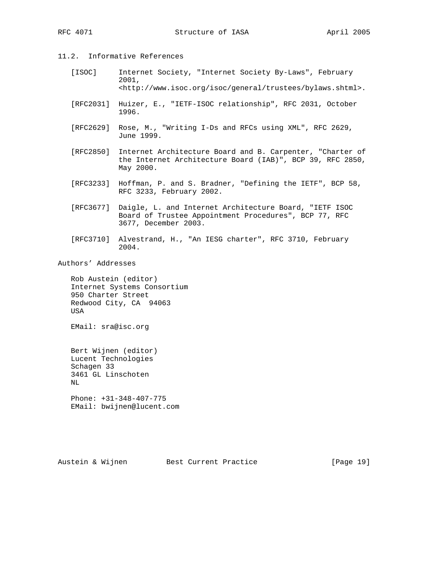- 11.2. Informative References
	- [ISOC] Internet Society, "Internet Society By-Laws", February 2001, <http://www.isoc.org/isoc/general/trustees/bylaws.shtml>.
	- [RFC2031] Huizer, E., "IETF-ISOC relationship", RFC 2031, October 1996.
	- [RFC2629] Rose, M., "Writing I-Ds and RFCs using XML", RFC 2629, June 1999.
	- [RFC2850] Internet Architecture Board and B. Carpenter, "Charter of the Internet Architecture Board (IAB)", BCP 39, RFC 2850, May 2000.
	- [RFC3233] Hoffman, P. and S. Bradner, "Defining the IETF", BCP 58, RFC 3233, February 2002.
	- [RFC3677] Daigle, L. and Internet Architecture Board, "IETF ISOC Board of Trustee Appointment Procedures", BCP 77, RFC 3677, December 2003.
	- [RFC3710] Alvestrand, H., "An IESG charter", RFC 3710, February 2004.

Authors' Addresses

 Rob Austein (editor) Internet Systems Consortium 950 Charter Street Redwood City, CA 94063 USA

EMail: sra@isc.org

 Bert Wijnen (editor) Lucent Technologies Schagen 33 3461 GL Linschoten NL Phone: +31-348-407-775

EMail: bwijnen@lucent.com

Austein & Wijnen Best Current Practice [Page 19]